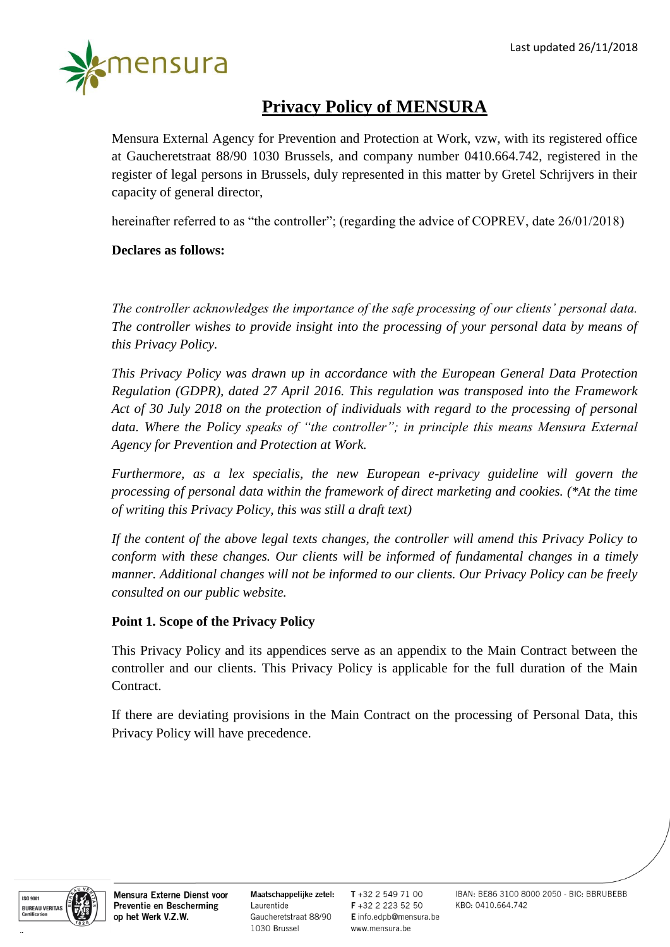

# **Privacy Policy of MENSURA**

Mensura External Agency for Prevention and Protection at Work, vzw, with its registered office at Gaucheretstraat 88/90 1030 Brussels, and company number 0410.664.742, registered in the register of legal persons in Brussels, duly represented in this matter by Gretel Schrijvers in their capacity of general director,

hereinafter referred to as "the controller"; (regarding the advice of COPREV, date 26/01/2018)

# **Declares as follows:**

*The controller acknowledges the importance of the safe processing of our clients' personal data. The controller wishes to provide insight into the processing of your personal data by means of this Privacy Policy.* 

*This Privacy Policy was drawn up in accordance with the European General Data Protection Regulation (GDPR), dated 27 April 2016. This regulation was transposed into the Framework Act of 30 July 2018 on the protection of individuals with regard to the processing of personal data. Where the Policy speaks of "the controller"; in principle this means Mensura External Agency for Prevention and Protection at Work.*

*Furthermore, as a lex specialis, the new European e-privacy guideline will govern the processing of personal data within the framework of direct marketing and cookies. (\*At the time of writing this Privacy Policy, this was still a draft text)*

*If the content of the above legal texts changes, the controller will amend this Privacy Policy to conform with these changes. Our clients will be informed of fundamental changes in a timely manner. Additional changes will not be informed to our clients. Our Privacy Policy can be freely consulted on our public website.*

#### **Point 1. Scope of the Privacy Policy**

This Privacy Policy and its appendices serve as an appendix to the Main Contract between the controller and our clients. This Privacy Policy is applicable for the full duration of the Main Contract.

If there are deviating provisions in the Main Contract on the processing of Personal Data, this Privacy Policy will have precedence.



Mensura Externe Dienst voor Preventie en Bescherming op het Werk V.Z.W.

Maatschappelijke zetel: Laurentide Gaucheretstraat 88/90 1030 Brussel

T+32 2 549 71 00 F+32 2 223 52 50 E info.edpb@mensura.be www.mensura.be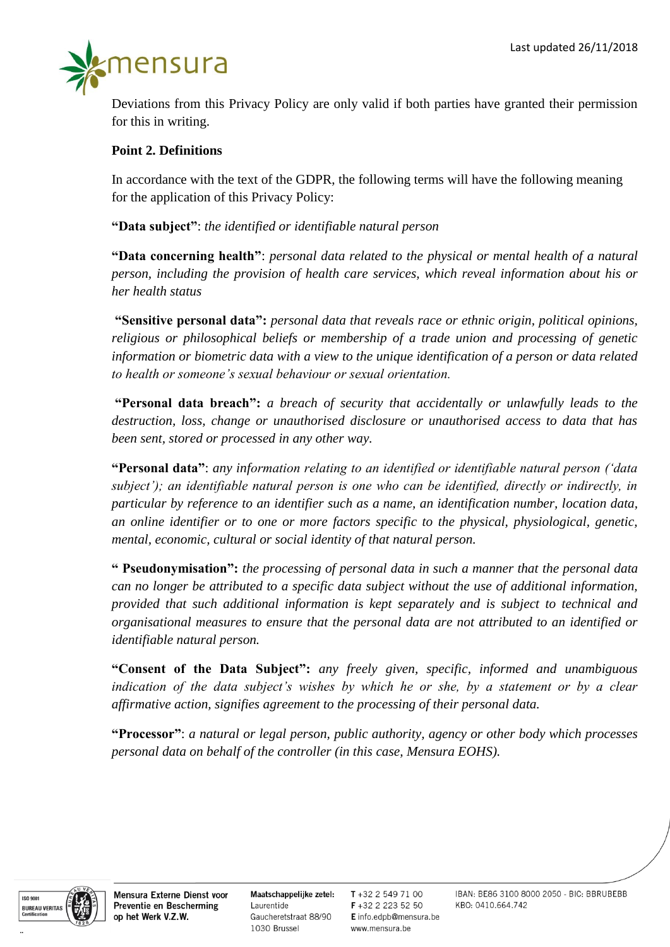

Deviations from this Privacy Policy are only valid if both parties have granted their permission for this in writing.

#### **Point 2. Definitions**

In accordance with the text of the GDPR, the following terms will have the following meaning for the application of this Privacy Policy:

**"Data subject"**: *the identified or identifiable natural person*

**"Data concerning health"**: *personal data related to the physical or mental health of a natural person, including the provision of health care services, which reveal information about his or her health status* 

**"Sensitive personal data":** *personal data that reveals race or ethnic origin, political opinions, religious or philosophical beliefs or membership of a trade union and processing of genetic information or biometric data with a view to the unique identification of a person or data related to health or someone's sexual behaviour or sexual orientation.*

**"Personal data breach":** *a breach of security that accidentally or unlawfully leads to the destruction, loss, change or unauthorised disclosure or unauthorised access to data that has been sent, stored or processed in any other way.*

**"Personal data"**: *any information relating to an identified or identifiable natural person ('data subject'); an identifiable natural person is one who can be identified, directly or indirectly, in particular by reference to an identifier such as a name, an identification number, location data, an online identifier or to one or more factors specific to the physical, physiological, genetic, mental, economic, cultural or social identity of that natural person.*

**" Pseudonymisation":** *the processing of personal data in such a manner that the personal data can no longer be attributed to a specific data subject without the use of additional information, provided that such additional information is kept separately and is subject to technical and organisational measures to ensure that the personal data are not attributed to an identified or identifiable natural person.*

**"Consent of the Data Subject":** *any freely given, specific, informed and unambiguous indication of the data subject's wishes by which he or she, by a statement or by a clear affirmative action, signifies agreement to the processing of their personal data.*

**"Processor"**: *a natural or legal person, public authority, agency or other body which processes personal data on behalf of the controller (in this case, Mensura EOHS).*



Mensura Externe Dienst voor Preventie en Bescherming op het Werk V.Z.W.

Maatschappelijke zetel: Laurentide Gaucheretstraat 88/90 1030 Brussel

T+32 2 549 71 00 F+32 2 223 52 50 E info.edpb@mensura.be www.mensura.be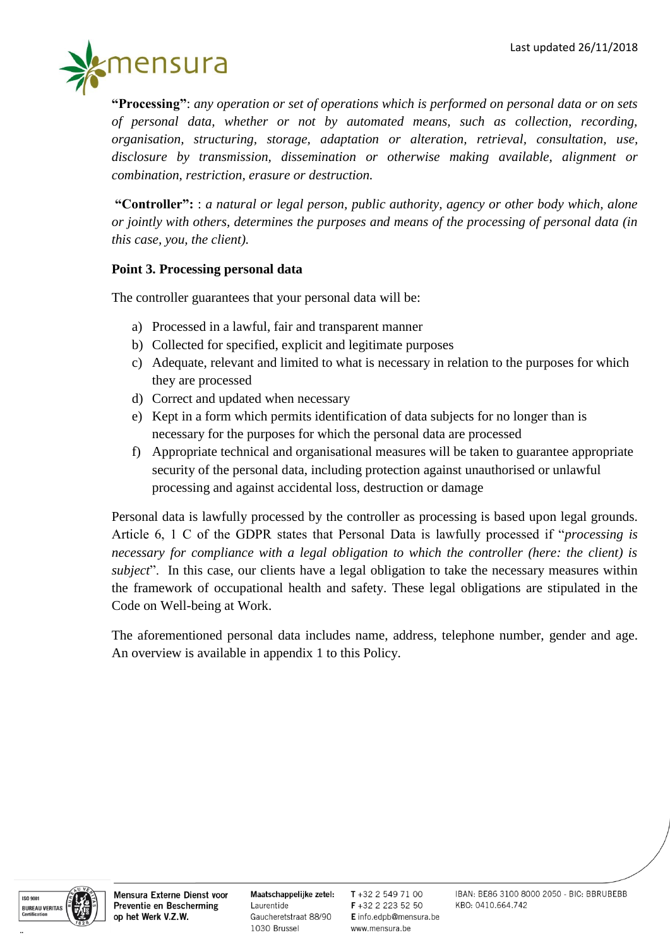

**"Processing"**: *any operation or set of operations which is performed on personal data or on sets of personal data, whether or not by automated means, such as collection, recording, organisation, structuring, storage, adaptation or alteration, retrieval, consultation, use, disclosure by transmission, dissemination or otherwise making available, alignment or combination, restriction, erasure or destruction.*

**"Controller":** : *a natural or legal person, public authority, agency or other body which, alone or jointly with others, determines the purposes and means of the processing of personal data (in this case, you, the client).*

# **Point 3. Processing personal data**

The controller guarantees that your personal data will be:

- a) Processed in a lawful, fair and transparent manner
- b) Collected for specified, explicit and legitimate purposes
- c) Adequate, relevant and limited to what is necessary in relation to the purposes for which they are processed
- d) Correct and updated when necessary
- e) Kept in a form which permits identification of data subjects for no longer than is necessary for the purposes for which the personal data are processed
- f) Appropriate technical and organisational measures will be taken to guarantee appropriate security of the personal data, including protection against unauthorised or unlawful processing and against accidental loss, destruction or damage

Personal data is lawfully processed by the controller as processing is based upon legal grounds. Article 6, 1 C of the GDPR states that Personal Data is lawfully processed if "*processing is necessary for compliance with a legal obligation to which the controller (here: the client) is subject*". In this case, our clients have a legal obligation to take the necessary measures within the framework of occupational health and safety. These legal obligations are stipulated in the Code on Well-being at Work.

The aforementioned personal data includes name, address, telephone number, gender and age. An overview is available in appendix 1 to this Policy.



Mensura Externe Dienst voor Preventie en Bescherming op het Werk V.Z.W.

Maatschappelijke zetel: Laurentide Gaucheretstraat 88/90 1030 Brussel

T +32 2 549 71 00 F+32 2 223 52 50 E info.edpb@mensura.be www.mensura.be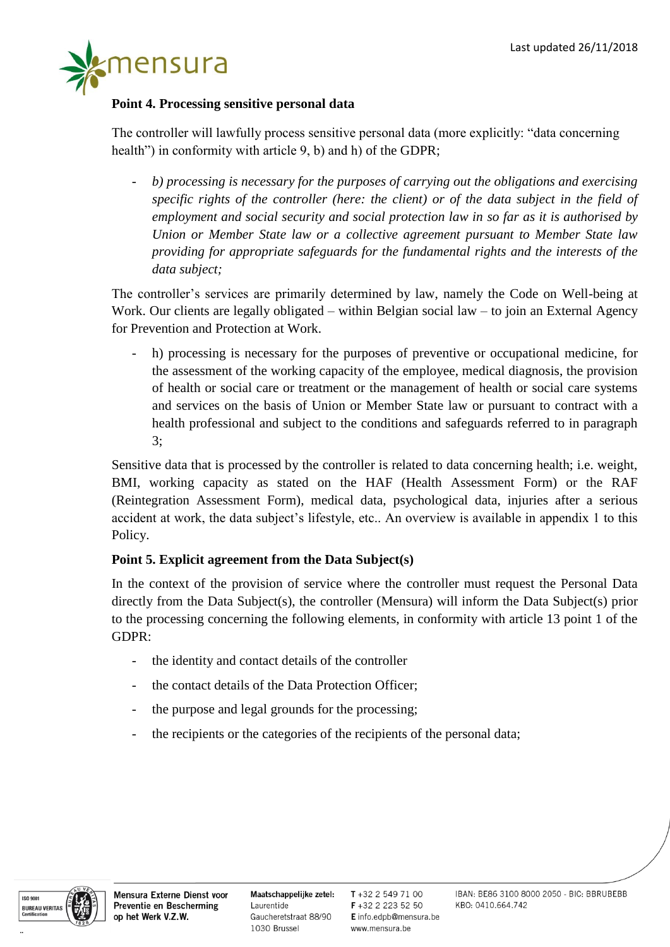

# **Point 4. Processing sensitive personal data**

The controller will lawfully process sensitive personal data (more explicitly: "data concerning health") in conformity with article 9, b) and h) of the GDPR;

- *b) processing is necessary for the purposes of carrying out the obligations and exercising specific rights of the controller (here: the client) or of the data subject in the field of employment and social security and social protection law in so far as it is authorised by Union or Member State law or a collective agreement pursuant to Member State law providing for appropriate safeguards for the fundamental rights and the interests of the data subject;*

The controller's services are primarily determined by law, namely the Code on Well-being at Work. Our clients are legally obligated – within Belgian social law – to join an External Agency for Prevention and Protection at Work.

h) processing is necessary for the purposes of preventive or occupational medicine, for the assessment of the working capacity of the employee, medical diagnosis, the provision of health or social care or treatment or the management of health or social care systems and services on the basis of Union or Member State law or pursuant to contract with a health professional and subject to the conditions and safeguards referred to in paragraph 3;

Sensitive data that is processed by the controller is related to data concerning health; i.e. weight, BMI, working capacity as stated on the HAF (Health Assessment Form) or the RAF (Reintegration Assessment Form), medical data, psychological data, injuries after a serious accident at work, the data subject's lifestyle, etc.. An overview is available in appendix 1 to this Policy.

# **Point 5. Explicit agreement from the Data Subject(s)**

In the context of the provision of service where the controller must request the Personal Data directly from the Data Subject(s), the controller (Mensura) will inform the Data Subject(s) prior to the processing concerning the following elements, in conformity with article 13 point 1 of the GDPR:

- the identity and contact details of the controller
- the contact details of the Data Protection Officer;
- the purpose and legal grounds for the processing;
- the recipients or the categories of the recipients of the personal data;



Maatschappelijke zetel: Laurentide Gaucheretstraat 88/90 1030 Brussel

 $T + 3225497100$ F+32 2 223 52 50 E info.edpb@mensura.be www.mensura.be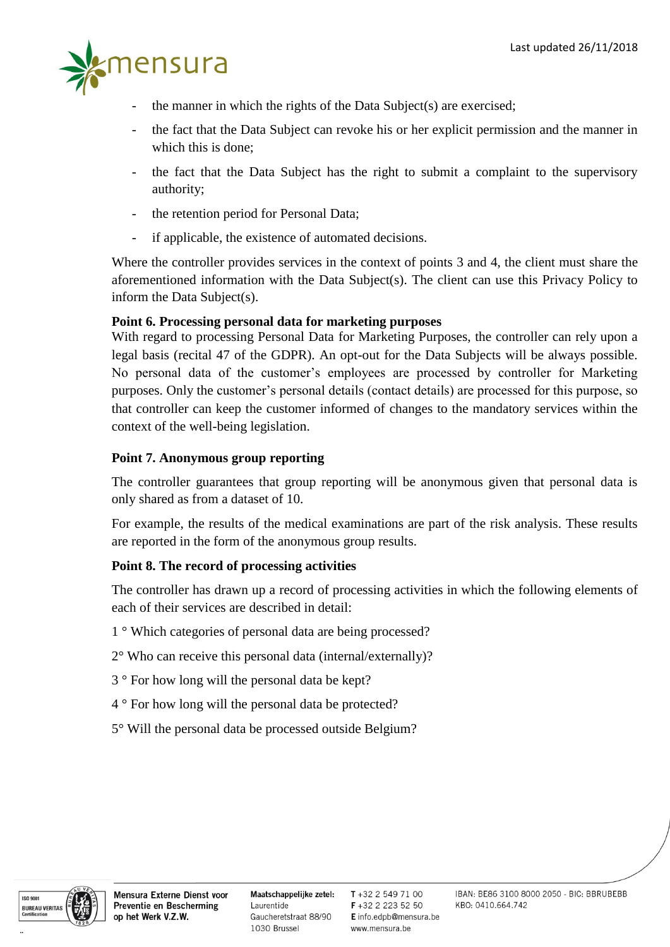

- the manner in which the rights of the Data Subject $(s)$  are exercised;
- the fact that the Data Subject can revoke his or her explicit permission and the manner in which this is done;
- the fact that the Data Subject has the right to submit a complaint to the supervisory authority;
- the retention period for Personal Data;
- if applicable, the existence of automated decisions.

Where the controller provides services in the context of points 3 and 4, the client must share the aforementioned information with the Data Subject(s). The client can use this Privacy Policy to inform the Data Subject(s).

# **Point 6. Processing personal data for marketing purposes**

With regard to processing Personal Data for Marketing Purposes, the controller can rely upon a legal basis (recital 47 of the GDPR). An opt-out for the Data Subjects will be always possible. No personal data of the customer's employees are processed by controller for Marketing purposes. Only the customer's personal details (contact details) are processed for this purpose, so that controller can keep the customer informed of changes to the mandatory services within the context of the well-being legislation.

# **Point 7. Anonymous group reporting**

The controller guarantees that group reporting will be anonymous given that personal data is only shared as from a dataset of 10.

For example, the results of the medical examinations are part of the risk analysis. These results are reported in the form of the anonymous group results.

#### **Point 8. The record of processing activities**

The controller has drawn up a record of processing activities in which the following elements of each of their services are described in detail:

- 1 ° Which categories of personal data are being processed?
- 2° Who can receive this personal data (internal/externally)?
- 3 ° For how long will the personal data be kept?
- 4 ° For how long will the personal data be protected?
- 5° Will the personal data be processed outside Belgium?



Maatschappelijke zetel: Laurentide Gaucheretstraat 88/90 1030 Brussel

 $T + 3225497100$ F +32 2 223 52 50 E info.edpb@mensura.be www.mensura.be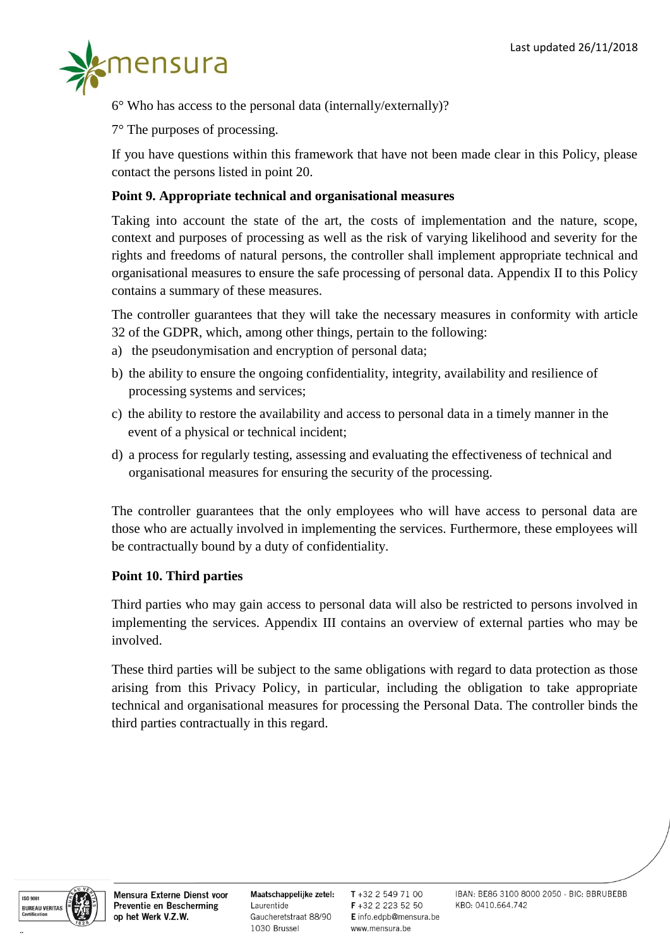

 $6^{\circ}$  Who has access to the personal data (internally/externally)?

7° The purposes of processing.

If you have questions within this framework that have not been made clear in this Policy, please contact the persons listed in point 20.

#### **Point 9. Appropriate technical and organisational measures**

Taking into account the state of the art, the costs of implementation and the nature, scope, context and purposes of processing as well as the risk of varying likelihood and severity for the rights and freedoms of natural persons, the controller shall implement appropriate technical and organisational measures to ensure the safe processing of personal data. Appendix II to this Policy contains a summary of these measures.

The controller guarantees that they will take the necessary measures in conformity with article 32 of the GDPR, which, among other things, pertain to the following:

- a) the pseudonymisation and encryption of personal data;
- b) the ability to ensure the ongoing confidentiality, integrity, availability and resilience of processing systems and services;
- c) the ability to restore the availability and access to personal data in a timely manner in the event of a physical or technical incident;
- d) a process for regularly testing, assessing and evaluating the effectiveness of technical and organisational measures for ensuring the security of the processing.

The controller guarantees that the only employees who will have access to personal data are those who are actually involved in implementing the services. Furthermore, these employees will be contractually bound by a duty of confidentiality.

#### **Point 10. Third parties**

Third parties who may gain access to personal data will also be restricted to persons involved in implementing the services. Appendix III contains an overview of external parties who may be involved.

These third parties will be subject to the same obligations with regard to data protection as those arising from this Privacy Policy, in particular, including the obligation to take appropriate technical and organisational measures for processing the Personal Data. The controller binds the third parties contractually in this regard.



Mensura Externe Dienst voor Preventie en Bescherming op het Werk V.Z.W.

Maatschappelijke zetel: Laurentide Gaucheretstraat 88/90 1030 Brussel

 $T + 3225497100$ F +32 2 223 52 50 E info.edpb@mensura.be www.mensura.be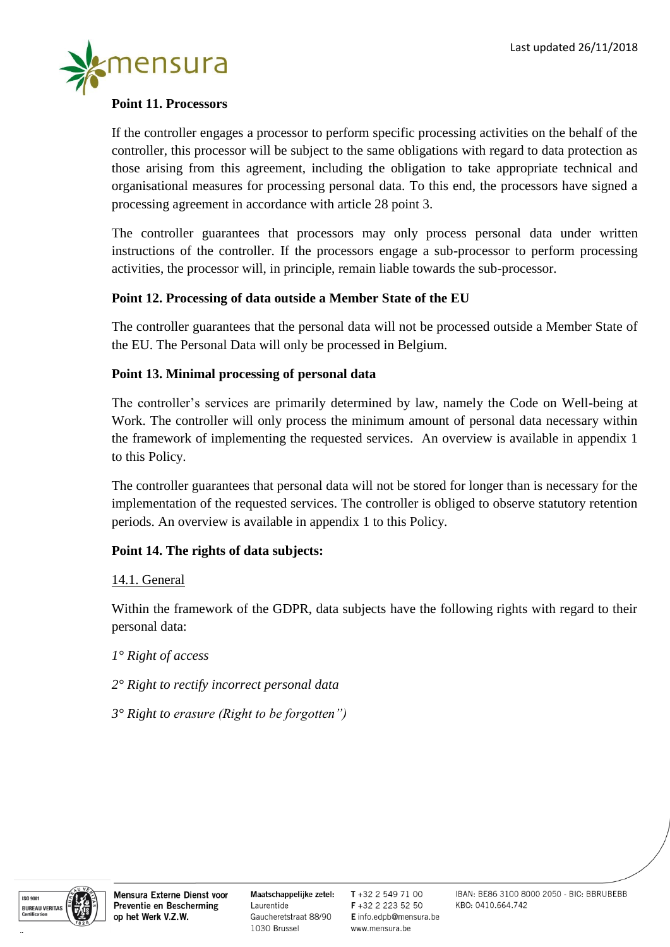

# **Point 11. Processors**

If the controller engages a processor to perform specific processing activities on the behalf of the controller, this processor will be subject to the same obligations with regard to data protection as those arising from this agreement, including the obligation to take appropriate technical and organisational measures for processing personal data. To this end, the processors have signed a processing agreement in accordance with article 28 point 3.

The controller guarantees that processors may only process personal data under written instructions of the controller. If the processors engage a sub-processor to perform processing activities, the processor will, in principle, remain liable towards the sub-processor.

#### **Point 12. Processing of data outside a Member State of the EU**

The controller guarantees that the personal data will not be processed outside a Member State of the EU. The Personal Data will only be processed in Belgium.

# **Point 13. Minimal processing of personal data**

The controller's services are primarily determined by law, namely the Code on Well-being at Work. The controller will only process the minimum amount of personal data necessary within the framework of implementing the requested services. An overview is available in appendix 1 to this Policy.

The controller guarantees that personal data will not be stored for longer than is necessary for the implementation of the requested services. The controller is obliged to observe statutory retention periods. An overview is available in appendix 1 to this Policy.

# **Point 14. The rights of data subjects:**

14.1. General

Within the framework of the GDPR, data subjects have the following rights with regard to their personal data:

*1° Right of access* 

*2° Right to rectify incorrect personal data* 

*3° Right to erasure (Right to be forgotten")*



Mensura Externe Dienst voor Preventie en Bescherming op het Werk V.Z.W.

Maatschappelijke zetel: Laurentide Gaucheretstraat 88/90 1030 Brussel

 $T + 3225497100$ F+32 2 223 52 50 E info.edpb@mensura.be www.mensura.be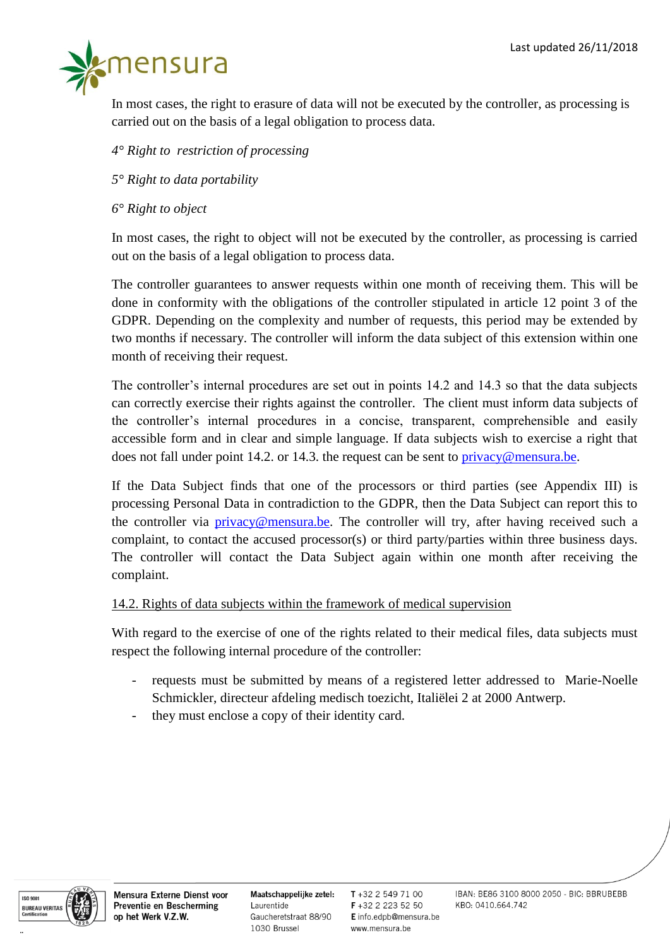

In most cases, the right to erasure of data will not be executed by the controller, as processing is carried out on the basis of a legal obligation to process data.

# *4° Right to restriction of processing*

- *5° Right to data portability*
- *6° Right to object*

In most cases, the right to object will not be executed by the controller, as processing is carried out on the basis of a legal obligation to process data.

The controller guarantees to answer requests within one month of receiving them. This will be done in conformity with the obligations of the controller stipulated in article 12 point 3 of the GDPR. Depending on the complexity and number of requests, this period may be extended by two months if necessary. The controller will inform the data subject of this extension within one month of receiving their request.

The controller's internal procedures are set out in points 14.2 and 14.3 so that the data subjects can correctly exercise their rights against the controller. The client must inform data subjects of the controller's internal procedures in a concise, transparent, comprehensible and easily accessible form and in clear and simple language. If data subjects wish to exercise a right that does not fall under point 14.2. or 14.3. the request can be sent to  $\frac{\text{privacy}}{\text{C}$  mensura.be.

If the Data Subject finds that one of the processors or third parties (see Appendix III) is processing Personal Data in contradiction to the GDPR, then the Data Subject can report this to the controller via **privacy@mensura.be**. The controller will try, after having received such a complaint, to contact the accused processor(s) or third party/parties within three business days. The controller will contact the Data Subject again within one month after receiving the complaint.

#### 14.2. Rights of data subjects within the framework of medical supervision

With regard to the exercise of one of the rights related to their medical files, data subjects must respect the following internal procedure of the controller:

- requests must be submitted by means of a registered letter addressed to Marie-Noelle Schmickler, directeur afdeling medisch toezicht, Italiëlei 2 at 2000 Antwerp.
- they must enclose a copy of their identity card.



Mensura Externe Dienst voor Preventie en Bescherming op het Werk V.Z.W.

Maatschappelijke zetel: Laurentide Gaucheretstraat 88/90 1030 Brussel

 $T + 3225497100$ F+32 2 223 52 50 E info.edpb@mensura.be www.mensura.be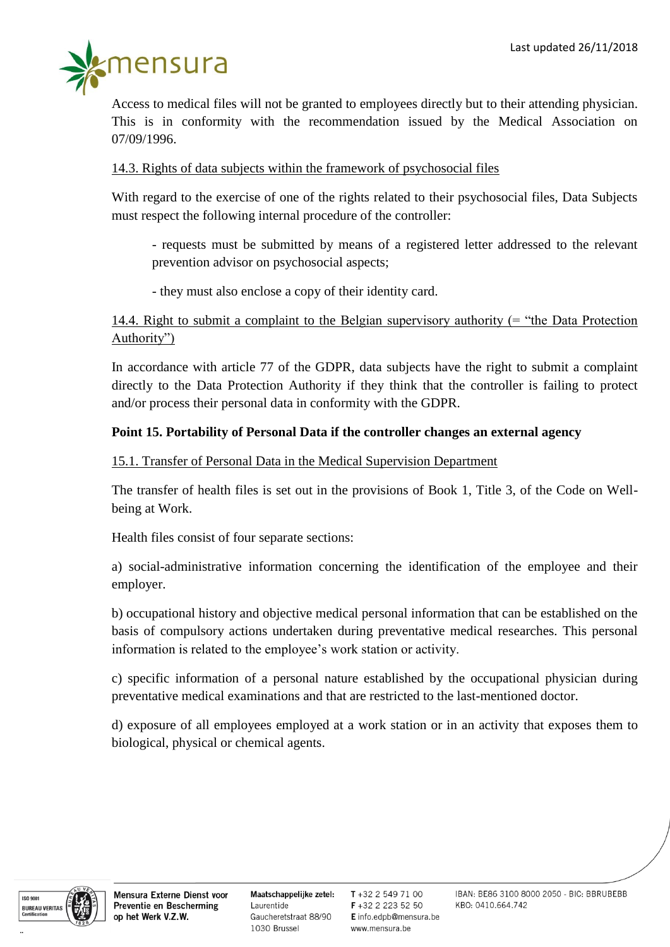

Access to medical files will not be granted to employees directly but to their attending physician. This is in conformity with the recommendation issued by the Medical Association on 07/09/1996.

#### 14.3. Rights of data subjects within the framework of psychosocial files

With regard to the exercise of one of the rights related to their psychosocial files, Data Subjects must respect the following internal procedure of the controller:

- requests must be submitted by means of a registered letter addressed to the relevant prevention advisor on psychosocial aspects;

- they must also enclose a copy of their identity card.

14.4. Right to submit a complaint to the Belgian supervisory authority (= "the Data Protection Authority")

In accordance with article 77 of the GDPR, data subjects have the right to submit a complaint directly to the Data Protection Authority if they think that the controller is failing to protect and/or process their personal data in conformity with the GDPR.

#### **Point 15. Portability of Personal Data if the controller changes an external agency**

15.1. Transfer of Personal Data in the Medical Supervision Department

The transfer of health files is set out in the provisions of Book 1, Title 3, of the Code on Wellbeing at Work.

Health files consist of four separate sections:

a) social-administrative information concerning the identification of the employee and their employer.

b) occupational history and objective medical personal information that can be established on the basis of compulsory actions undertaken during preventative medical researches. This personal information is related to the employee's work station or activity.

c) specific information of a personal nature established by the occupational physician during preventative medical examinations and that are restricted to the last-mentioned doctor.

d) exposure of all employees employed at a work station or in an activity that exposes them to biological, physical or chemical agents.



Mensura Externe Dienst voor Preventie en Bescherming op het Werk V.Z.W.

Maatschappelijke zetel: Laurentide Gaucheretstraat 88/90 1030 Brussel

T +32 2 549 71 00 F+32 2 223 52 50 E info.edpb@mensura.be www.mensura.be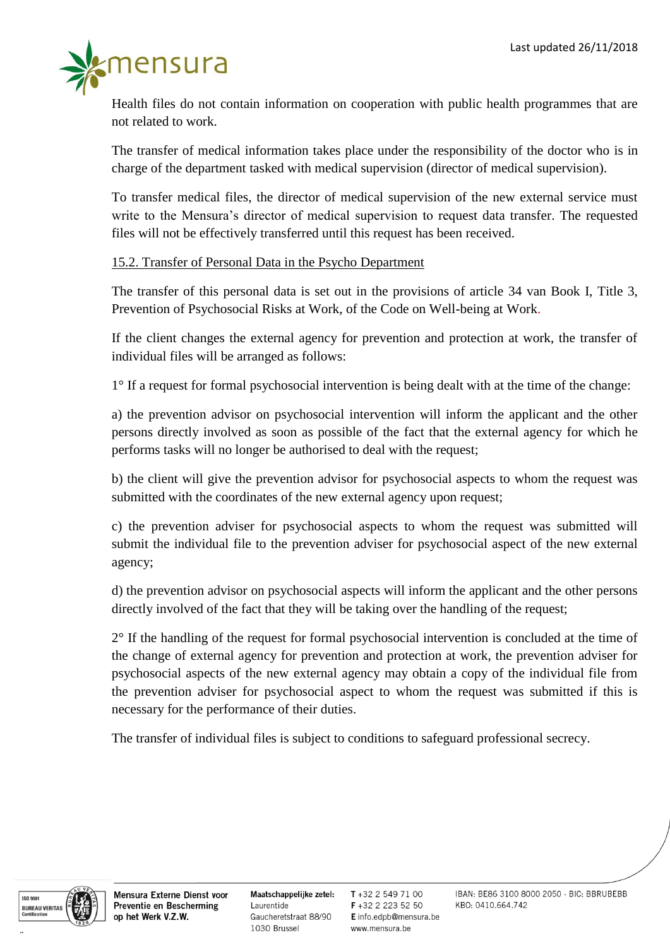

Health files do not contain information on cooperation with public health programmes that are not related to work.

The transfer of medical information takes place under the responsibility of the doctor who is in charge of the department tasked with medical supervision (director of medical supervision).

To transfer medical files, the director of medical supervision of the new external service must write to the Mensura's director of medical supervision to request data transfer. The requested files will not be effectively transferred until this request has been received.

#### 15.2. Transfer of Personal Data in the Psycho Department

The transfer of this personal data is set out in the provisions of article 34 van Book I, Title 3, Prevention of Psychosocial Risks at Work, of the Code on Well-being at Work.

If the client changes the external agency for prevention and protection at work, the transfer of individual files will be arranged as follows:

1° If a request for formal psychosocial intervention is being dealt with at the time of the change:

a) the prevention advisor on psychosocial intervention will inform the applicant and the other persons directly involved as soon as possible of the fact that the external agency for which he performs tasks will no longer be authorised to deal with the request;

b) the client will give the prevention advisor for psychosocial aspects to whom the request was submitted with the coordinates of the new external agency upon request;

c) the prevention adviser for psychosocial aspects to whom the request was submitted will submit the individual file to the prevention adviser for psychosocial aspect of the new external agency;

d) the prevention advisor on psychosocial aspects will inform the applicant and the other persons directly involved of the fact that they will be taking over the handling of the request;

2° If the handling of the request for formal psychosocial intervention is concluded at the time of the change of external agency for prevention and protection at work, the prevention adviser for psychosocial aspects of the new external agency may obtain a copy of the individual file from the prevention adviser for psychosocial aspect to whom the request was submitted if this is necessary for the performance of their duties.

The transfer of individual files is subject to conditions to safeguard professional secrecy.



Mensura Externe Dienst voor Preventie en Bescherming op het Werk V.Z.W.

Maatschappelijke zetel: Laurentide Gaucheretstraat 88/90 1030 Brussel

 $T + 3225497100$ F+32 2 223 52 50 E info.edpb@mensura.be www.mensura.be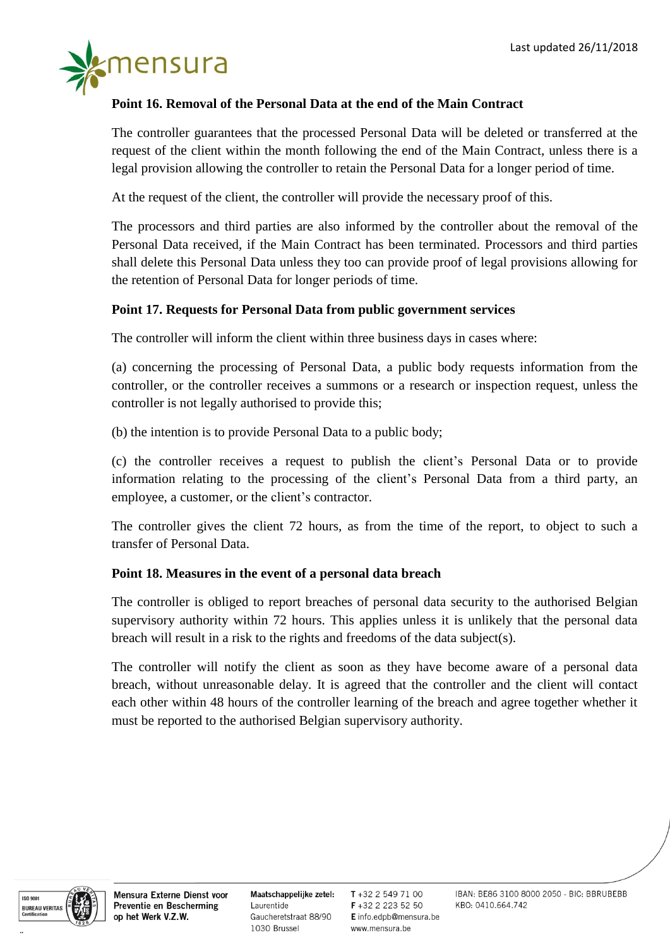

# **Point 16. Removal of the Personal Data at the end of the Main Contract**

The controller guarantees that the processed Personal Data will be deleted or transferred at the request of the client within the month following the end of the Main Contract, unless there is a legal provision allowing the controller to retain the Personal Data for a longer period of time.

At the request of the client, the controller will provide the necessary proof of this.

The processors and third parties are also informed by the controller about the removal of the Personal Data received, if the Main Contract has been terminated. Processors and third parties shall delete this Personal Data unless they too can provide proof of legal provisions allowing for the retention of Personal Data for longer periods of time.

#### **Point 17. Requests for Personal Data from public government services**

The controller will inform the client within three business days in cases where:

(a) concerning the processing of Personal Data, a public body requests information from the controller, or the controller receives a summons or a research or inspection request, unless the controller is not legally authorised to provide this;

(b) the intention is to provide Personal Data to a public body;

(c) the controller receives a request to publish the client's Personal Data or to provide information relating to the processing of the client's Personal Data from a third party, an employee, a customer, or the client's contractor.

The controller gives the client 72 hours, as from the time of the report, to object to such a transfer of Personal Data.

#### **Point 18. Measures in the event of a personal data breach**

The controller is obliged to report breaches of personal data security to the authorised Belgian supervisory authority within 72 hours. This applies unless it is unlikely that the personal data breach will result in a risk to the rights and freedoms of the data subject(s).

The controller will notify the client as soon as they have become aware of a personal data breach, without unreasonable delay. It is agreed that the controller and the client will contact each other within 48 hours of the controller learning of the breach and agree together whether it must be reported to the authorised Belgian supervisory authority.



Mensura Externe Dienst voor Preventie en Bescherming op het Werk V.Z.W.

Maatschappelijke zetel: Laurentide Gaucheretstraat 88/90 1030 Brussel

 $T + 3225497100$ F+32 2 223 52 50 E info.edpb@mensura.be www.mensura.be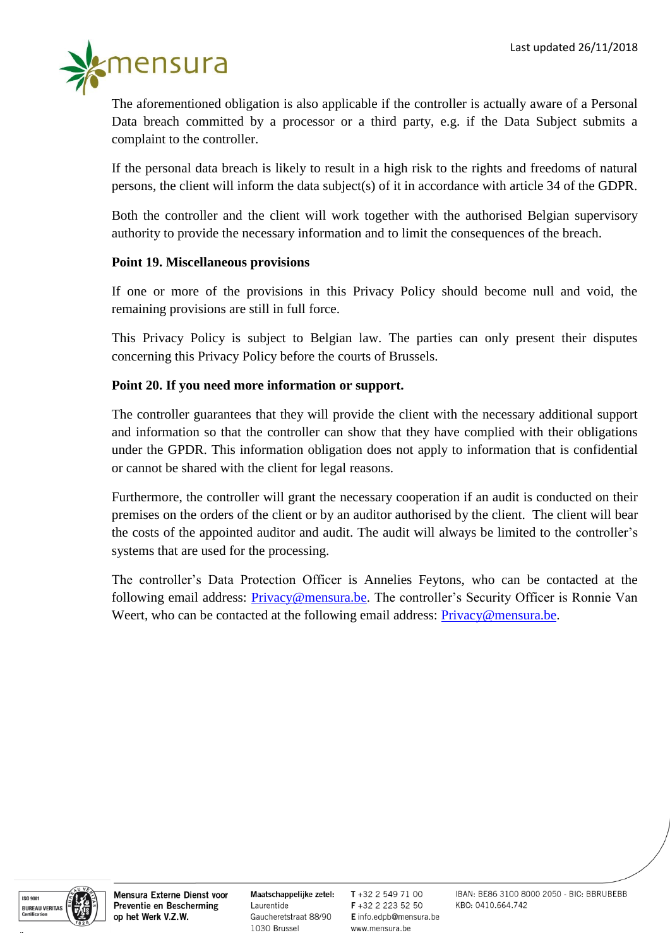

The aforementioned obligation is also applicable if the controller is actually aware of a Personal Data breach committed by a processor or a third party, e.g. if the Data Subject submits a complaint to the controller.

If the personal data breach is likely to result in a high risk to the rights and freedoms of natural persons, the client will inform the data subject(s) of it in accordance with article 34 of the GDPR.

Both the controller and the client will work together with the authorised Belgian supervisory authority to provide the necessary information and to limit the consequences of the breach.

# **Point 19. Miscellaneous provisions**

If one or more of the provisions in this Privacy Policy should become null and void, the remaining provisions are still in full force.

This Privacy Policy is subject to Belgian law. The parties can only present their disputes concerning this Privacy Policy before the courts of Brussels.

# **Point 20. If you need more information or support.**

The controller guarantees that they will provide the client with the necessary additional support and information so that the controller can show that they have complied with their obligations under the GPDR. This information obligation does not apply to information that is confidential or cannot be shared with the client for legal reasons.

Furthermore, the controller will grant the necessary cooperation if an audit is conducted on their premises on the orders of the client or by an auditor authorised by the client. The client will bear the costs of the appointed auditor and audit. The audit will always be limited to the controller's systems that are used for the processing.

The controller's Data Protection Officer is Annelies Feytons, who can be contacted at the following email address: [Privacy@mensura.be.](mailto:Privacy@mensura.be) The controller's Security Officer is Ronnie Van Weert, who can be contacted at the following email address: [Privacy@mensura.be.](mailto:Privacy@mensura.be)



**..**

Mensura Externe Dienst voor Preventie en Bescherming op het Werk V.Z.W.

Maatschappelijke zetel: Laurentide Gaucheretstraat 88/90 1030 Brussel

 $T + 3225497100$ F +32 2 223 52 50 E info.edpb@mensura.be www.mensura.be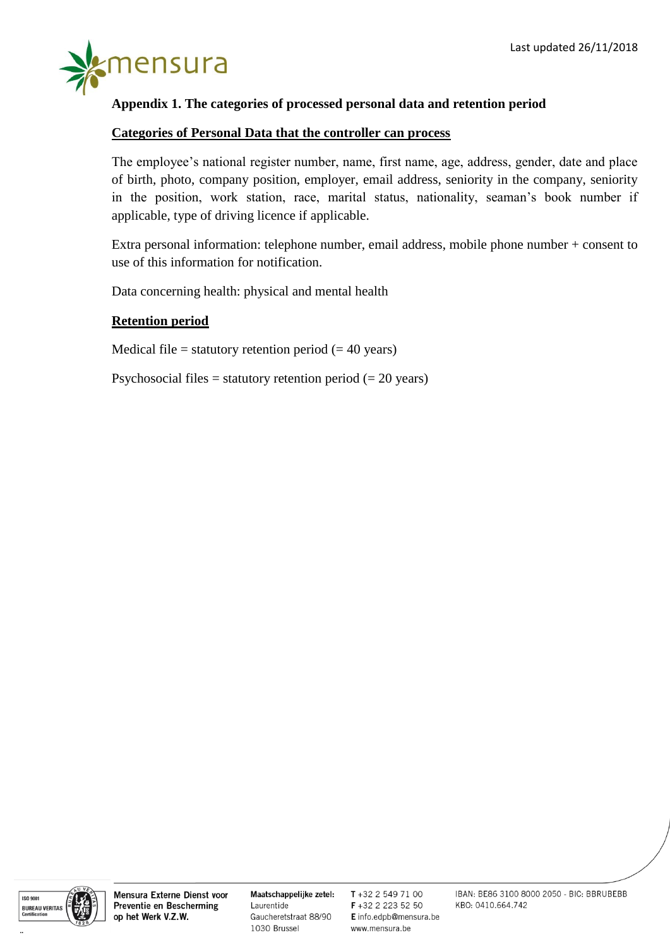

#### **Appendix 1. The categories of processed personal data and retention period**

#### **Categories of Personal Data that the controller can process**

The employee's national register number, name, first name, age, address, gender, date and place of birth, photo, company position, employer, email address, seniority in the company, seniority in the position, work station, race, marital status, nationality, seaman's book number if applicable, type of driving licence if applicable.

Extra personal information: telephone number, email address, mobile phone number + consent to use of this information for notification.

Data concerning health: physical and mental health

#### **Retention period**

Medical file = statutory retention period  $(= 40 \text{ years})$ 

Psychosocial files = statutory retention period  $(= 20 \text{ years})$ 



**..**

Mensura Externe Dienst voor Preventie en Bescherming op het Werk V.Z.W.

Maatschappelijke zetel: Laurentide Gaucheretstraat 88/90 1030 Brussel

T+32 2 549 71 00 F+32 2 223 52 50 E info.edpb@mensura.be www.mensura.be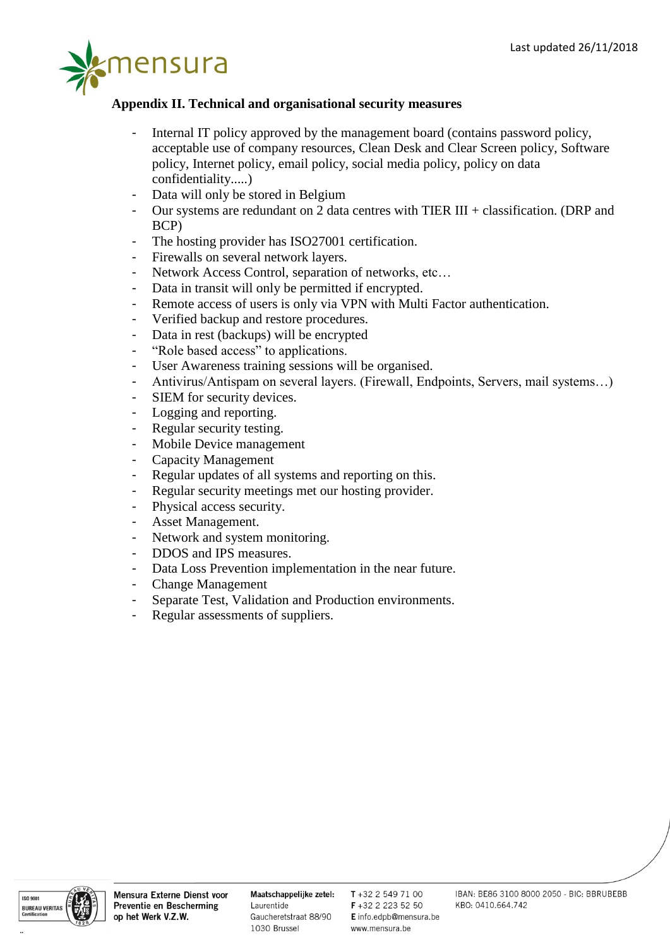

# **Appendix II. Technical and organisational security measures**

- Internal IT policy approved by the management board (contains password policy, acceptable use of company resources, Clean Desk and Clear Screen policy, Software policy, Internet policy, email policy, social media policy, policy on data confidentiality.....)
- Data will only be stored in Belgium
- Our systems are redundant on 2 data centres with TIER III + classification. (DRP and BCP)
- The hosting provider has ISO27001 certification.
- Firewalls on several network layers.
- Network Access Control, separation of networks, etc...
- Data in transit will only be permitted if encrypted.
- Remote access of users is only via VPN with Multi Factor authentication.
- Verified backup and restore procedures.
- Data in rest (backups) will be encrypted
- "Role based access" to applications.
- User Awareness training sessions will be organised.
- Antivirus/Antispam on several layers. (Firewall, Endpoints, Servers, mail systems…)
- SIEM for security devices.
- Logging and reporting.
- Regular security testing.
- Mobile Device management
- Capacity Management
- Regular updates of all systems and reporting on this.
- Regular security meetings met our hosting provider.
- Physical access security.
- Asset Management.
- Network and system monitoring.
- DDOS and IPS measures.
- Data Loss Prevention implementation in the near future.
- Change Management
- Separate Test, Validation and Production environments.
- Regular assessments of suppliers.



Maatschappelijke zetel: Laurentide Gaucheretstraat 88/90 1030 Brussel

T+32 2 549 71 00 F+32 2 223 52 50 E info.edpb@mensura.be www.mensura.be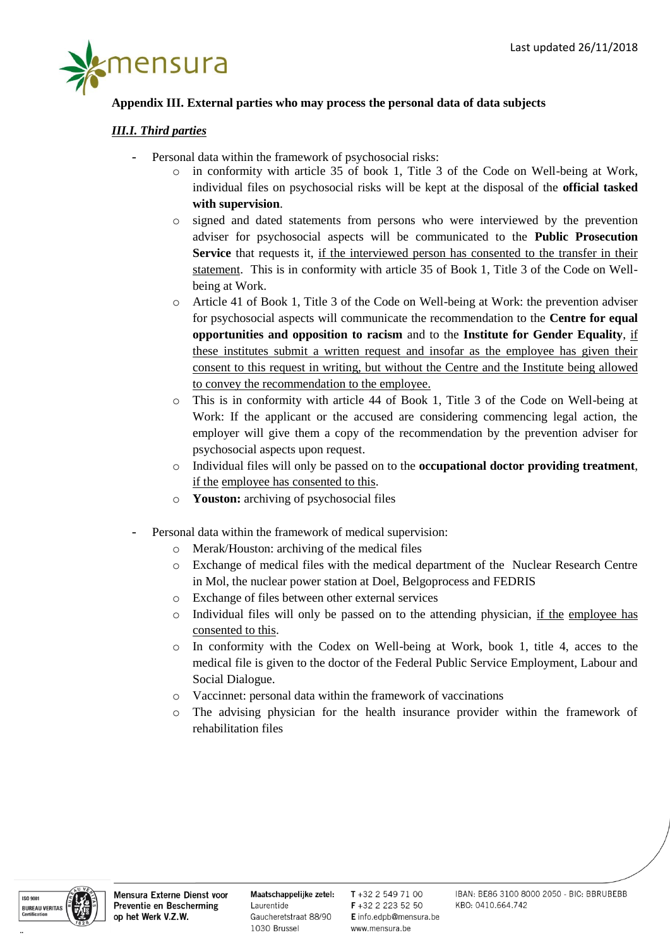

#### **Appendix III. External parties who may process the personal data of data subjects**

#### *III.I. Third parties*

- Personal data within the framework of psychosocial risks:
	- o in conformity with article 35 of book 1, Title 3 of the Code on Well-being at Work, individual files on psychosocial risks will be kept at the disposal of the **official tasked with supervision**.
	- o signed and dated statements from persons who were interviewed by the prevention adviser for psychosocial aspects will be communicated to the **Public Prosecution Service** that requests it, if the interviewed person has consented to the transfer in their statement. This is in conformity with article 35 of Book 1, Title 3 of the Code on Wellbeing at Work.
	- o Article 41 of Book 1, Title 3 of the Code on Well-being at Work: the prevention adviser for psychosocial aspects will communicate the recommendation to the **Centre for equal opportunities and opposition to racism** and to the **Institute for Gender Equality**, if these institutes submit a written request and insofar as the employee has given their consent to this request in writing, but without the Centre and the Institute being allowed to convey the recommendation to the employee.
	- o This is in conformity with article 44 of Book 1, Title 3 of the Code on Well-being at Work: If the applicant or the accused are considering commencing legal action, the employer will give them a copy of the recommendation by the prevention adviser for psychosocial aspects upon request.
	- o Individual files will only be passed on to the **occupational doctor providing treatment**, if the employee has consented to this.
	- o **Youston:** archiving of psychosocial files
- Personal data within the framework of medical supervision:
	- o Merak/Houston: archiving of the medical files
	- o Exchange of medical files with the medical department of the Nuclear Research Centre in Mol, the nuclear power station at Doel, Belgoprocess and FEDRIS
	- o Exchange of files between other external services
	- o Individual files will only be passed on to the attending physician, if the employee has consented to this.
	- $\circ$  In conformity with the Codex on Well-being at Work, book 1, title 4, acces to the medical file is given to the doctor of the Federal Public Service Employment, Labour and Social Dialogue.
	- o Vaccinnet: personal data within the framework of vaccinations
	- o The advising physician for the health insurance provider within the framework of rehabilitation files



Maatschappelijke zetel: Laurentide Gaucheretstraat 88/90 1030 Brussel

T+32 2 549 71 00 F +32 2 223 52 50 E info.edpb@mensura.be www.mensura.be